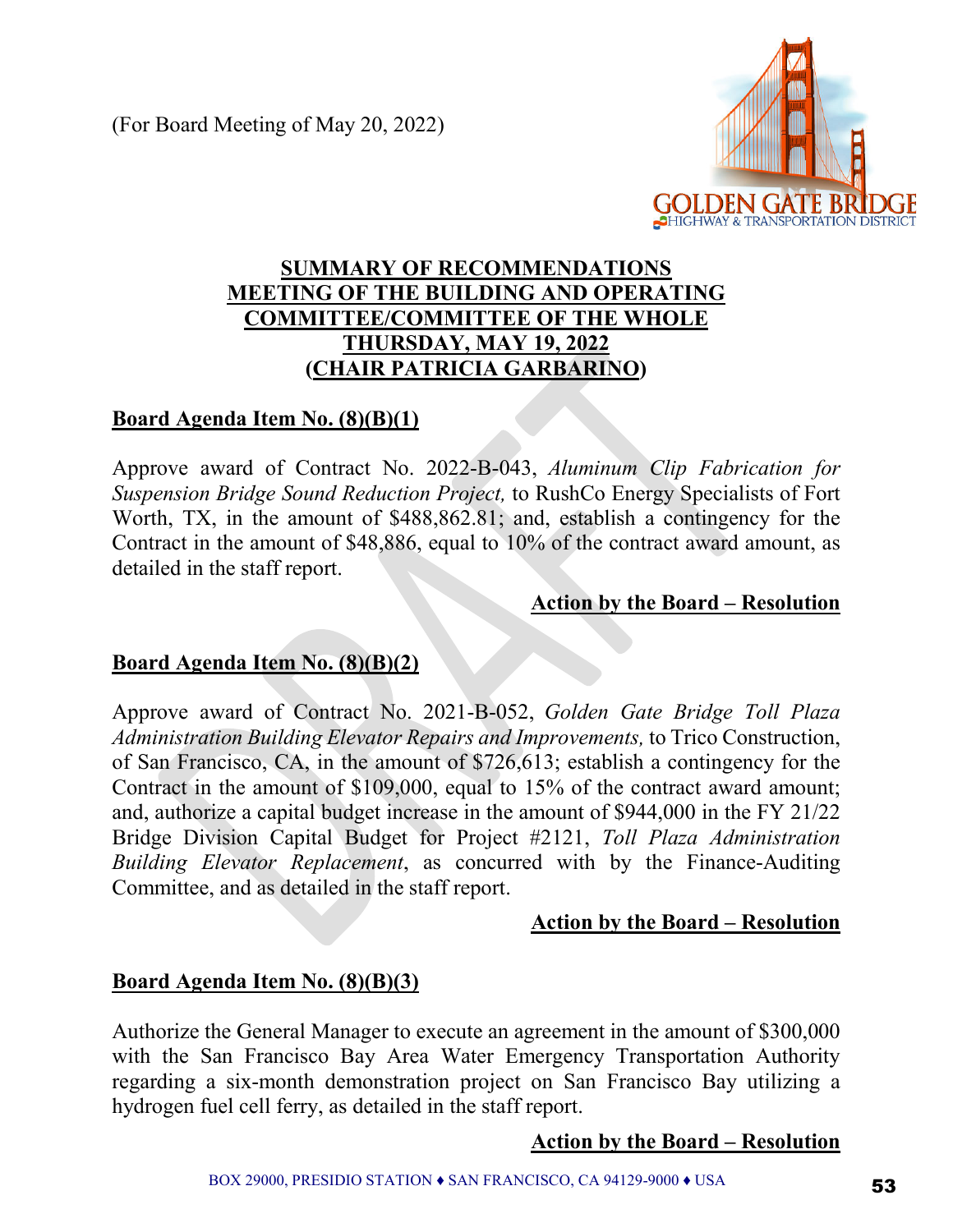(For Board Meeting of May 20, 2022)



# **SUMMARY OF RECOMMENDATIONS MEETING OF THE BUILDING AND OPERATING COMMITTEE/COMMITTEE OF THE WHOLE THURSDAY, MAY 19, 2022 (CHAIR PATRICIA GARBARINO)**

## **Board Agenda Item No. (8)(B)(1)**

Approve award of Contract No. 2022-B-043, *Aluminum Clip Fabrication for Suspension Bridge Sound Reduction Project,* to RushCo Energy Specialists of Fort Worth, TX, in the amount of \$488,862.81; and, establish a contingency for the Contract in the amount of \$48,886, equal to 10% of the contract award amount, as detailed in the staff report.

#### **Action by the Board – Resolution**

# **Board Agenda Item No. (8)(B)(2)**

Approve award of Contract No. 2021-B-052, *Golden Gate Bridge Toll Plaza Administration Building Elevator Repairs and Improvements,* to Trico Construction, of San Francisco, CA, in the amount of \$726,613; establish a contingency for the Contract in the amount of \$109,000, equal to 15% of the contract award amount; and, authorize a capital budget increase in the amount of \$944,000 in the FY 21/22 Bridge Division Capital Budget for Project #2121, *Toll Plaza Administration Building Elevator Replacement*, as concurred with by the Finance-Auditing Committee, and as detailed in the staff report.

### **Action by the Board – Resolution**

### **Board Agenda Item No. (8)(B)(3)**

Authorize the General Manager to execute an agreement in the amount of \$300,000 with the San Francisco Bay Area Water Emergency Transportation Authority regarding a six-month demonstration project on San Francisco Bay utilizing a hydrogen fuel cell ferry, as detailed in the staff report.

### **Action by the Board – Resolution**